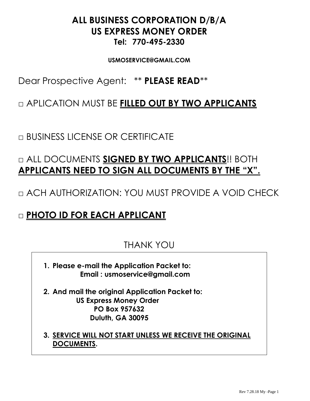## **ALL BUSINESS CORPORATION D/B/A US EXPRESS MONEY ORDER Tel: 770-495-2330**

## **USMOSERVICE@GMAIL.COM**

## Dear Prospective Agent: \*\* **PLEASE READ**\*\*

## □ APLICATION MUST BE **FILLED OUT BY TWO APPLICANTS**

□ BUSINESS LICENSE OR CERTIFICATE

# □ ALL DOCUMENTS **SIGNED BY TWO APPLICANTS**!! BOTH **APPLICANTS NEED TO SIGN ALL DOCUMENTS BY THE "X".**

□ ACH AUTHORIZATION: YOU MUST PROVIDE A VOID CHECK

# □ **PHOTO ID FOR EACH APPLICANT**

## THANK YOU

**1. Please e-mail the Application Packet to: Email : usmoservice@gmail.com**

**2. And mail the original Application Packet to: US Express Money Order PO Box 957632 Duluth, GA 30095**

**3. SERVICE WILL NOT START UNLESS WE RECEIVE THE ORIGINAL DOCUMENTS.**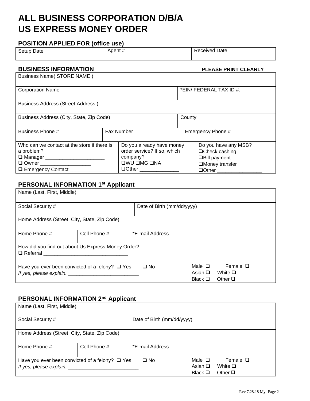# **ALL BUSINESS CORPORATION D/B/A US EXPRESS MONEY ORDER**

## **POSITION APPLIED FOR (office use)**

| <b>PUSITION APPLIED FOR (OIIICE USE)</b>                                                                                                                           |  |                                                                                                                               |                         |                                                                                                             |
|--------------------------------------------------------------------------------------------------------------------------------------------------------------------|--|-------------------------------------------------------------------------------------------------------------------------------|-------------------------|-------------------------------------------------------------------------------------------------------------|
| Setup Date                                                                                                                                                         |  | Agent#                                                                                                                        |                         | <b>Received Date</b>                                                                                        |
| <b>BUSINESS INFORMATION</b>                                                                                                                                        |  |                                                                                                                               |                         | PLEASE PRINT CLEARLY                                                                                        |
| Business Name( STORE NAME)                                                                                                                                         |  |                                                                                                                               |                         |                                                                                                             |
| <b>Corporation Name</b>                                                                                                                                            |  |                                                                                                                               | *EIN/ FEDERAL TAX ID #: |                                                                                                             |
| <b>Business Address (Street Address)</b>                                                                                                                           |  |                                                                                                                               |                         |                                                                                                             |
| Business Address (City, State, Zip Code)                                                                                                                           |  |                                                                                                                               | County                  |                                                                                                             |
| Business Phone #                                                                                                                                                   |  | Fax Number                                                                                                                    |                         | Emergency Phone #                                                                                           |
| Who can we contact at the store if there is<br>a problem?<br>□ Manager _________________________<br>□ Owner _____________________<br>□ Emergency Contact _________ |  | Do you already have money<br>order service? If so, which<br>company?<br><b>OWU OMG ONA</b><br><b>QOther</b> _________________ |                         | Do you have any MSB?<br>□ Check cashing<br><b>□Bill payment</b><br><b>IMoney transfer</b><br><b>Q</b> Other |

.

## **PERSONAL INFORMATION 1 st Applicant**

| Name (Last, First, Middle)                                                                                                                                                       |  |                 |                            |  |  |
|----------------------------------------------------------------------------------------------------------------------------------------------------------------------------------|--|-----------------|----------------------------|--|--|
| Social Security #                                                                                                                                                                |  |                 | Date of Birth (mm/dd/yyyy) |  |  |
| Home Address (Street, City, State, Zip Code)                                                                                                                                     |  |                 |                            |  |  |
| Home Phone #<br>Cell Phone #                                                                                                                                                     |  | *E-mail Address |                            |  |  |
| How did you find out about Us Express Money Order?                                                                                                                               |  |                 |                            |  |  |
| Male $\square$<br>Female $\Box$<br>$\square$ No<br>Have you ever been convicted of a felony? $\Box$ Yes<br>Asian $\square$<br>White $\square$<br>Black $\square$<br>Other $\Box$ |  |                 |                            |  |  |

## **PERSONAL INFORMATION 2nd Applicant**

| Name (Last, First, Middle)                           |              |                            |                                                      |                                                     |
|------------------------------------------------------|--------------|----------------------------|------------------------------------------------------|-----------------------------------------------------|
| Social Security #                                    |              | Date of Birth (mm/dd/yyyy) |                                                      |                                                     |
| Home Address (Street, City, State, Zip Code)         |              |                            |                                                      |                                                     |
| Home Phone #                                         | Cell Phone # | *E-mail Address            |                                                      |                                                     |
| Have you ever been convicted of a felony? $\Box$ Yes |              | $\square$ No               | Male $\square$<br>Asian $\square$<br>Black $\square$ | Female $\Box$<br>White $\square$<br>Other $\square$ |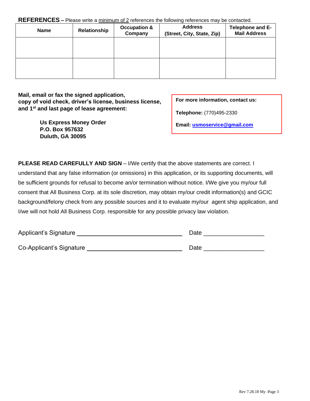**REFERENCES –** Please write a minimum of 2 references the following references may be contacted.

| <b>Name</b> | Relationship | <b>Occupation &amp;</b><br>Company | <b>Address</b><br>(Street, City, State, Zip) | Telephone and E-<br><b>Mail Address</b> |
|-------------|--------------|------------------------------------|----------------------------------------------|-----------------------------------------|
|             |              |                                    |                                              |                                         |
|             |              |                                    |                                              |                                         |
|             |              |                                    |                                              |                                         |

**Mail, email or fax the signed application, copy of void check, driver's license, business license, and 1st and last page of lease agreement:**

> **Us Express Money Order P.O. Box 957632 Duluth, GA 30095**

**For more information, contact us:**

**Telephone:** (770)495-2330

**Email: usmoservice@gmail.com**

**PLEASE READ CAREFULLY AND SIGN** – I/We certify that the above statements are correct. I understand that any false information (or omissions) in this application, or its supporting documents, will be sufficient grounds for refusal to become an/or termination without notice. I/We give you my/our full consent that All Business Corp. at its sole discretion, may obtain my/our credit information(s) and GCIC background/felony check from any possible sources and it to evaluate my/our agent ship application, and I/we will not hold All Business Corp. responsible for any possible privacy law violation.

| Applicant's Signature    | Date |
|--------------------------|------|
| Co-Applicant's Signature | Date |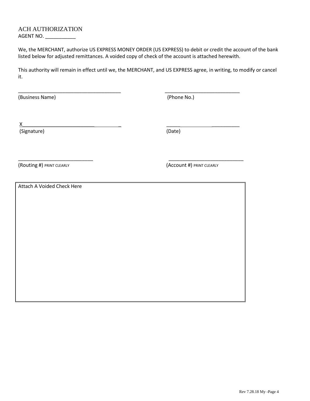### ACH AUTHORIZATION AGENT NO. \_\_\_\_\_\_\_\_\_\_\_

We, the MERCHANT, authorize US EXPRESS MONEY ORDER (US EXPRESS) to debit or credit the account of the bank listed below for adjusted remittances. A voided copy of check of the account is attached herewith.

This authority will remain in effect until we, the MERCHANT, and US EXPRESS agree, in writing, to modify or cancel it.

\_\_\_\_\_\_\_\_\_\_\_\_\_\_\_\_\_\_\_\_\_\_\_\_\_\_\_\_\_\_\_\_\_\_\_\_\_ \_\_\_\_\_\_\_\_\_\_\_\_\_\_\_\_\_\_\_\_\_\_\_\_\_\_\_

\_\_\_\_\_\_\_\_\_\_\_\_\_\_\_\_\_\_\_\_\_\_\_\_\_\_\_ \_\_\_\_\_\_\_\_\_\_\_\_\_\_\_\_\_\_\_\_\_\_\_\_\_\_\_

(Business Name) (Phone No.)

X\_\_\_\_\_\_\_\_\_\_\_\_\_\_\_\_\_\_\_\_\_\_\_\_\_\_ \_ \_\_\_\_\_ \_\_\_\_\_\_\_\_\_\_

(Signature) (Date)

(Routing #) PRINT CLEARLY (Account #) PRINT CLEARLY

Attach A Voided Check Here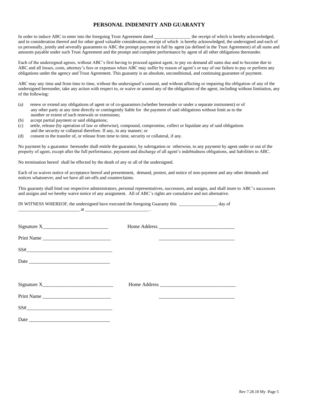### **PERSONAL INDEMNITY AND GUARANTY**

In order to induce ABC to enter into the foregoing Trust Agreement dated \_\_\_\_\_\_\_\_\_\_\_\_\_\_\_\_ the receipt of which is hereby acknowledged, and in consideration thereof and for other good valuable consideration, receipt of which is hereby acknowledged, the undersigned and each of us personally, jointly and severally guarantees to ABC the prompt payment in full by agent (as defined in the Trust Agreement) of all sums and amounts payable under such Trust Agreement and the prompt and complete performance by agent of all other obligations thereunder.

Each of the undersigned agrees, without ABC's first having to proceed against agent, to pay on demand all sums due and to become due to ABC and all losses, costs, attorney's fees or expenses when ABC may suffer by reason of agent's or nay of our failure to pay or perform any obligations under the agency and Trust Agreement. This guaranty is an absolute, unconditional, and continuing guarantee of payment.

ABC may any time and from time to time, without the undersigned's consent, and without affecting or impairing the obligation of any of the undersigned hereunder, take any action with respect to, or waive or amend any of the obligations of the agent, including without limitation, any of the following:

- (a) renew or extend any obligations of agent or of co-guarantors (whether hereunder or under a separate instrument) or of any other party at any time directly or contingently liable for the payment of said obligations without limit as to the number or extent of such renewals or extensions;
- (b) accept partial payment or said obligations;
- (c) settle, release (by operation of law or otherwise), compound, compromise, collect or liquidate any of said obligations and the security or collateral therefore. If any, in any manner; or
- (d) consent to the transfer of, or release from time to time, security or collateral, if any.

No payment by a guarantor hereunder shall entitle the guarantor, by subrogation or otherwise, to any payment by agent under or out of the property of agent, except after the full performance, payment and discharge of all agent's indebtedness obligations, and liabilities to ABC.

No termination hereof shall be effected by the death of any or all of the undersigned.

Each of us waives notice of acceptance hereof and presentment, demand, protest, and notice of non-payment and any other demands and notices whatsoever, and we have all set-offs and counterclaims.

This guaranty shall bind our respective administrators, personal representatives, successors, and assigns, and shall inure to ABC's successors and assigns and we hereby waive notice of any assignment. All of ABC's rights are cumulative and not alternative.

| $\mathbf{a}$ at $\frac{1}{2}$ at $\frac{1}{2}$ at $\frac{1}{2}$ at $\frac{1}{2}$ at $\frac{1}{2}$ at $\frac{1}{2}$ at $\frac{1}{2}$ at $\frac{1}{2}$ at $\frac{1}{2}$ at $\frac{1}{2}$ at $\frac{1}{2}$ at $\frac{1}{2}$ at $\frac{1}{2}$ at $\frac{1}{2}$ at $\frac{1}{2}$ at $\frac{1}{2}$ at |                                                                                                                                                                                                                               |  |
|-------------------------------------------------------------------------------------------------------------------------------------------------------------------------------------------------------------------------------------------------------------------------------------------------|-------------------------------------------------------------------------------------------------------------------------------------------------------------------------------------------------------------------------------|--|
|                                                                                                                                                                                                                                                                                                 |                                                                                                                                                                                                                               |  |
| Print Name                                                                                                                                                                                                                                                                                      |                                                                                                                                                                                                                               |  |
|                                                                                                                                                                                                                                                                                                 |                                                                                                                                                                                                                               |  |
|                                                                                                                                                                                                                                                                                                 |                                                                                                                                                                                                                               |  |
|                                                                                                                                                                                                                                                                                                 |                                                                                                                                                                                                                               |  |
|                                                                                                                                                                                                                                                                                                 |                                                                                                                                                                                                                               |  |
|                                                                                                                                                                                                                                                                                                 | the control of the control of the control of the control of the control of the control of the control of the control of the control of the control of the control of the control of the control of the control of the control |  |
|                                                                                                                                                                                                                                                                                                 |                                                                                                                                                                                                                               |  |
|                                                                                                                                                                                                                                                                                                 |                                                                                                                                                                                                                               |  |

IN WITNESS WHEREOF, the undersigned have executed the foregoing Guaranty this \_\_\_\_\_\_\_\_\_\_\_\_\_\_\_\_\_ day of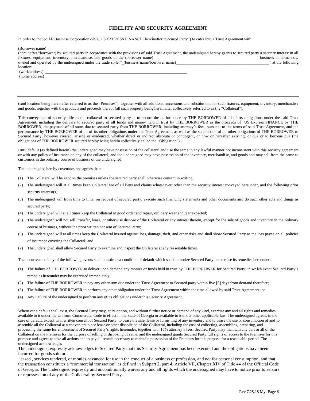#### **FIDELITY AND SECURITY AGREEMENT**

In order to induce All Business Corporation d/b/a/ US EXPRESS FINANCE (hereinafter "Secured Party") to enter into a Trust Agreement with

| (Borrower name)                                                                                                                                                               |                      |
|-------------------------------------------------------------------------------------------------------------------------------------------------------------------------------|----------------------|
| (hereinafter "borrower) by secured party in accordance with the provisions of said Trust Agreement, the undersigned hereby grants to secured party a security interest in all |                      |
| fixtures, equipment, inventory, merchandise, and goods of the (borrower name)                                                                                                 | business or home now |
| owned and operated by the undersigned under the trade style " (business name/borrower name)                                                                                   | " at the following   |
| location:                                                                                                                                                                     |                      |
| (work address)                                                                                                                                                                |                      |
| (home address)                                                                                                                                                                |                      |
|                                                                                                                                                                               |                      |

(said location being hereinafter referred to as the "Premises"), together with all additions, accessions and substitutions for such fixtures, equipment, inventory, merchandise and goods, together with the products and proceeds thereof (all such property being hereinafter collectively referred to as the "Collateral").

This conveyance of security title in the collateral to secured party is to secure the performance by THE BORROWER of all of its obligations under the said Trust Agreement, including the delivery to secured party of all funds and money held in trust by THE BORROWER as the proceeds of US Express FINANCE by THE BORROWER, the payment of all sums due to secured party from THE BORROWER, including attorney's fees, pursuant to the terms of said Trust Agreement, and the performance by THE BORROWER of all of its other obligations under the Trust Agreement as well as the satisfaction of all other obligations of THE BORROWER to Secured Party, however created, arising or evidenced, whether direct or indirect absolute or contingent, or now or hereafter existing, or due or to become due (the obligations of THE BORROWER secured hereby being herein collectively called the "Obligation").

Until default (as defined herein) the undersigned may have possession of the collateral and use the same in any lawful manner not inconsistent with this security agreement or with any policy of insurance on any of the collateral, and the undersigned may have possession of the inventory, merchandise, and goods and may sell from the same to customers in the ordinary course of business of the undersigned.

The undersigned hereby covenants and agrees that:

- (1) The Collateral will be kept on the premises unless the secured party shall otherwise consent in writing;
- (2) The undersigned will at all times keep Collateral fee of all liens and claims whatsoever, other than the security interest conveyed hereunder, and the following prior security interest(s);
- (3) The undersigned will from time to time, on request of secured party, execute such financing statements and other documents and do such other acts and things as secured party;
- (4) The undersigned will at all times keep the Collateral in good order and repair, ordinary wear and tear expected;
- (5) The undersigned will not sell, transfer, lease, or otherwise dispose of the Collateral or any interest therein, except for the sale of goods and inventory in the ordinary course of business, without the prior written consent of Secured Party;
- (6) The undersigned will at all times keep the Collateral insured against loss, damage, theft, and other risks and shall show Secured Party as the loss payee on all policies of insurance covering the Collateral; and
- (7) The undersigned shall allow Secured Party to examine and inspect the Collateral at any reasonable times.

The occurrence of any of the following events shall constitute a condition of default which shall authorize Secured Party to exercise its remedies hereunder:

- (1) The failure of THE BORROWER to deliver upon demand any monies or funds held in trust by THE BORROWER for Secured Party, in which event Secured Party's remedies hereunder may be exercised immediately;
- (2) The failure of THE BORROWER to pay any other sum due under the Trust Agreement to Secured party within five [5] days from demand therefore;
- (3) The failure of THE BORROWER to perform any other obligation under the Trust Agreement within the time allowed by said Trust Agreement; or
- (4) Any Failure of the undersigned to perform any of its obligations under this Security Agreement.

Whenever a default shall exist, the Secured Party may, at its option, and without further notice or demand of any kind, exercise any and all rights and remedies available to it under the Uniform Commercial Code in effect in the State of Georgia or available to it under other applicable law. The undersigned agrees, in the case of default, except with written consent of Secured Party, to cease the sale, lease or furnishing of any inventory and to cease the use or consumption of and to assemble all the Collateral at a convenient place lease or other disposition of the Collateral, including the cost of collecting, assembling, preparing, and processing the same for enforcement of Secured Party's rights hereunder, together with 15% attorney's fees. Secured Party may maintain any part or all of the Collateral on the Premises for the purpose of selling or disposing of same, and the undersigned grants Secured Party full rights of access to the Premises for this purpose and agrees to take all actions and to pay all rentals necessary to maintain possession of the Premises for this purpose for a reasonable period. The undersigned acknowledges

The undersigned expressly acknowledges to Secured Party that this Security Agreement has been executed and the obligations have been incurred for goods sold or

leased , services rendered, or monies advanced for use in the conduct of a business or profession, and not for personal consumption, and that the transaction constitutes a "commercial transaction" as defined in Subpart 2, part 4, Article VII, Chapter XIV of Title 44 of the Official Code of Georgia. The undersigned expressly and unconditionally waives any and all rights which the undersigned may have to notice prior to seizure or repossession of any of the Collateral by Secured Party.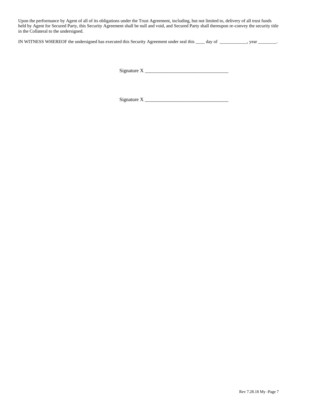Upon the performance by Agent of all of its obligations under the Trust Agreement, including, but not limited to, delivery of all trust funds held by Agent for Secured Party, this Security Agreement shall be null and void, and Secured Party shall thereupon re-convey the security title in the Collateral to the undersigned.

IN WITNESS WHEREOF the undersigned has executed this Security Agreement under seal this \_\_\_\_ day of \_\_\_\_\_\_\_\_\_\_\_\_, year \_\_\_\_\_\_\_\_.

Signature X \_\_\_\_\_\_\_\_\_\_\_\_\_\_\_\_\_\_\_\_\_\_\_\_\_\_\_\_\_\_\_\_\_

Signature X \_\_\_\_\_\_\_\_\_\_\_\_\_\_\_\_\_\_\_\_\_\_\_\_\_\_\_\_\_\_\_\_\_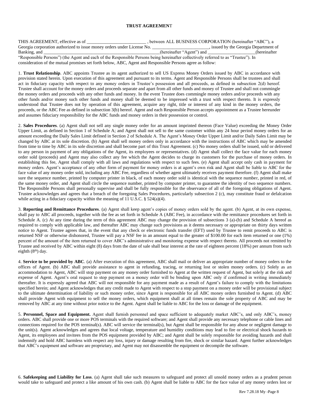#### **TRUST AGREEMEN**T

| THIS AGREEMENT, effective as of                                                                                                    |                           | between ALL BUSINESS CORPORATION (hereinafter "ABC"), a |
|------------------------------------------------------------------------------------------------------------------------------------|---------------------------|---------------------------------------------------------|
| Georgia corporation authorized to issue money orders under License No.                                                             |                           | s issued by the Georgia Department of                   |
| Banking, and                                                                                                                       | (hereinafter "Agent") and | hereinafter                                             |
| "Responsible Persons") (the Agent and each of the Responsible Persons being hereinafter collectively referred to as "Trustee"). In |                           |                                                         |
|                                                                                                                                    |                           |                                                         |

consideration of the mutual promises set forth below, ABC, Agent and Responsible Persons agree as follow:

1. **Trust Relationship**. ABC appoints Trustee as its agent authorized to sell US Express Money Orders issued by ABC in accordance with provision stated herein. Upon execution of this agreement and pursuant to its terms. Agent and Responsible Persons shall be trustees and shall act in fiduciary capacity with respect to any money orders in Trustee's possession and all proceeds, as defined in subsection 2(d) hereof. Trustee shall account for the money orders and proceeds separate and apart from all other funds and money of Trustee and shall not commingle the money orders and proceeds with any other funds and money. In the event Trustee does commingle money orders and/or proceeds with any other funds and/or money such other funds and money shall be deemed to be impressed with a trust with respect thereto. It is expressly understood that Trustee does not by operation of this agreement, acquire any right, title or interest of any kind in the money orders, the proceeds, or the ABC Fee as defined in subsection 3(b) hereof. Agent and each Responsible Person accepts appointment as a Trustee hereunder and assumes fiduciary responsibility for the ABC funds and money orders in their possession or control.

2. **Sales Procedures**. (a) Agent shall not sell any single money order for an amount imprinted thereon (Face Value) exceeding the Money Order Upper Limit, as defined in Section 1 of Schedule A; and Agent shall not sell to the same customer within any 24 hour period money orders for an amount exceeding the Daily Sales Limit defined in Section 2 of Schedule A. The Agent's Money Order Upper Limit and/or Daily Sales Limit may be changed by ABC at its sole discretion. (b) Agent shall sell money orders only in accordance with the instructions of ABC which may be amended from time to time by ABC in its sole discretion and shall become part of this Trust Agreement. (c) No money orders shall be issued, sold or delivered to any person in payment of any obligations of the Agent, its employees or representatives. (d) Agent shall collect the face value for each money order sold (proceeds) and Agent may also collect any fee which the Agent decides to charge its customers for the purchase of money orders. In establishing this fee, Agent shall comply with all laws and regulations with respect to such fees. (e) Agent shall accept only cash in payment for money orders. Agent's acceptance of any other form of payment for money orders is at agent's own risk and Agent shall be liable to ABC for the face value of any money order sold, including any ABC Fee, regardless of whether agent ultimately receives payment therefore. (f) Agent shall make sure the sequence number, printed by computer printer in black, of each money order sold is identical with the sequence number, printed in red, of the same money order, and Agent shall circle the sequence number, printed by computer printer, to guarantee the identity of two sequence numbers. The Responsible Persons shall personally supervise and shall be fully responsible for the observance of all of the foregoing obligations of Agent. Trustee acknowledges and agrees that a breach of the foregoing Sales Procedures, particularly subsection 2 (c), may constitute fraud or defalcation while acting in a fiduciary capacity within the meaning of 11 U.S.C. § 524(a)(4).

3. **Reporting and Remittance Procedures**. (a) Agent shall keep agent's copies of money orders sold by the agent. (b) Agent, at its own expense, shall pay to ABC all proceeds, together with the fee as set forth in Schedule A (ABC Fee), in accordance with the remittance procedures set forth in Schedule A. (c) At any time during the term of this agreement ABC may change the provision of subsections 3 (a)-(b) and Schedule A hereof as required to comply with applicable law, and thereafter ABC may change such provisions as it deems necessary or appropriate on thirty days written notice to Agent. Trustee agrees that, in the event that any check or electronic funds transfer (EFT) used by Trustee to remit proceeds to ABC is returned NSF or otherwise dishonored, Trustee will pay a NSF fee in an amount equal to the greater of \$100.00 for each item returned or one (1%) percent of the amount of the item returned to cover ABC's administrative and monitoring expense with respect thereto. All proceeds not remitted by Trustee and received by ABC within eight (8) days from the date of sale shall bear interest at the rate of eighteen percent (18%) per annum from such eighth  $(8<sup>th</sup>)$  day.

4. **Service to be provided by ABC**. (a) After execution of this agreement, ABC shall mail or deliver an appropriate number of money orders to the offices of Agent. (b) ABC shall provide assistance to agent in refunding, tracing, or returning lost or stolen money orders. (c) Solely as an accommodation to Agent, ABC will stop payment on any money order furnished to Agent at the written request of Agent, but solely at the risk and expense of Agent. Agent's oral request to stop payment on a money order will be binding upon ABC only if confirmed in writing immediately thereafter. It is expressly agreed that ABC will not responsible for any payment made as a result of Agent's failure to comply with the limitations specified herein; and Agent acknowledges that any credit made to Agent with respect to a stop payment on a money order will be provisional subject to the ultimate determination of liability or such money order, since Agent is responsible for all ABC money orders furnished to Agent. (d) ABC shall provide Agent with equipment to sell the money orders, which equipment shall at all times remain the sole property of ABC and may be removed by ABC at any time without prior notice to the Agent. Agent shall be liable to ABC for the loss or damage of the equipment.

5. **Personnel, Space and Equipment.** Agent shall furnish personnel and space sufficient to adequately market ABC's, and only ABC's, money orders. ABC shall provide one or more POS terminals with the required software; and Agent shall provide any necessary telephone or cable lines and connections required for the POS terminal(s). ABC will service the terminal(s), but Agent shall be responsible for any abuse or negligent damage to the unit(s). Agent acknowledges and agrees that local voltage, temperature and humidity conditions may lead to fire or electrical shock hazards to Agent, its employees and invitees from the POS equipment provided by ABC; and Agent shall be solely responsible for avoiding hazards and shall indemnify and hold ABC harmless with respect any loss, injury or damage resulting from fire, shock or similar hazard. Agent further acknowledges that ABC's equipment and software are proprietary, and Agent may not disassemble the equipment or decompile the software.

6. **Safekeeping and Liability for Loss**. (a) Agent shall take such measures to safeguard and protect all unsold money orders as a prudent person would take to safeguard and protect a like amount of his own cash. (b) Agent shall be liable to ABC for the face value of any money orders lost or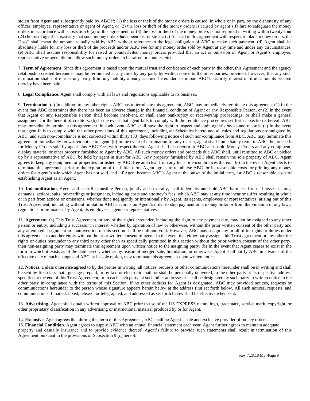stolen from Agent and subsequently paid by ABC if: (1) the loss or theft of the money orders is caused, in whole or in part, by the dishonesty of any officer, employee, representative or agent of Agent, or (2) the loss or theft of the money orders is caused by agent's failure to safeguard the money orders in accordance with subsection 6 (a) of this agreement, or (3) the loss or theft of the money orders is not reported in writing within twenty-four (24) hours of agent's discovery that such money orders have been lost or stolen. (c) As used in this agreement with respect to blank money orders, the "loss" shall mean the amount actually paid by ABC without reference to the legal obligation of ABC to make such payment. (d) Agent shall be absolutely liable for any loss or theft of the proceeds and/or ABC Fee for any money order sold by Agent at any time and under any circumstances. (e) ABC shall assume responsibility for raised or counterfeited money orders provided that an act or omission of Agent or Agent's employee, representative or agent did not allow such money orders to be raised or counterfeited.

7. **Term of Agreement**. Since this agreement is based upon the mutual trust and confidence of each party in the other, this Agreement and the agency relationship created hereunder may be terminated at any time by any party by written notice to the other parties; provided, however, that any such termination shall not release any party from any liability already accrued hereunder, or impair ABC's security interest until all amounts secured thereby have been paid.

8. **Legal Compliance**. Agent shall comply with all laws and regulations applicable to its business.

9. **Termination**. (a) In addition to any other rights ABC has to terminate this agreement, ABC may immediately terminate this agreement (1) in the event that ABC determines that there has been an adverse change in the financial condition of Agent or any Responsible Person, or (2) in the event that Agent or any Responsible Person shall become insolvent, or shall enter bankruptcy or receivership proceedings, or shall make a general assignment for the benefit of creditors. (b) In the event that agent fails to comply with the remittance procedures set forth in section 3 hereof, ABC may immediately terminate this agreement. In such event, ABC shall have the right to inspect and audit agent's books and records. (c) In the event that agent fails to comply with the other provisions of this agreement, including all Schedules hereto and all rules and regulations promulgated by ABC, and such non-compliance is not corrected within thirty (30) days following notice of such non-compliance from ABC, ABC may terminate this agreement immediately on written notice to agent. (d) In the event of termination for any reason, agent shall immediately remit to ABC the proceeds for Money Orders sold by agent plus ABC Fees with respect thereto. Agent shall also return to ABC all unsold Money Orders and any equipment, display material or other property furnished to Agent by ABC. All such money orders and proceeds due ABC shall, until remitted to ABC or picked up by a representative of ABC, be held by agent in trust for ABC. Any property furnished by ABC shall remain the sole property of ABC. Agent agrees to keep any equipment or properties furnished by ABC free and clear from any liens or encumbrances thereon. (e) In the event Agent elects to terminate this agreement prior to the expiration of the initial term, Agent agrees to reimburse ABC for its reasonable costs for printing any money orders for Agent's sale which Agent has not sold, and , if Agent became ABC's Agent at the outset of the initial term, for ABC's reasonable costs of establishing Agent as an Agent.

10. **Indemnification**. Agent and each Responsible Person, jointly and severally, shall indemnity and hold ABC harmless from all losses, claims, demands, actions, suits, proceedings or judgments, including costs and attorney's fees, which ABC may at any time incur or suffer resulting in whole or in part from actions or omissions, whether done negligently or intentionally by Agent, its agents, employees or representatives, arising out of this Trust Agreement, including without limitation ABC's actions on Agent's order to stop payment on a money order or from the violation of any laws, regulations or ordinances by Agent, its employees, agents or representatives.

11. **Agreement**. (a) This Trust Agreement, or any of the rights hereunder, including the right to any payment due, may not be assigned to any other person or entity, including a successor in interest, whether by operation of law or otherwise, without the prior written consent of the other party and any attempted assignment in contravention of this section shall be null and void. However, ABC may assign any or all of its rights or duties under this agreement to another entity without the prior written consent of agent. In the event that either party assigns this Trust agreement or any other the rights or duties hereunder to any third party other than as specifically permitted in this section without the prior written consent of the other party, then non-assigning party may terminate this agreement upon written notice to the assigning party. (b) In the event that Agent ceases to exist in the form in which it exists as of the date hereof, whether by reason of merger, sale, liquidation, or otherwise, Agent shall notify ABC in advance of the effective date of such change and ABC, at its sole option, may terminate this agreement upon written notice.

12. **Notices**. Unless otherwise agreed to by the parties in writing, all notices, requests or other communications hereunder shall be in writing and shall be sent by first class mail, postage prepaid, or by fax, or electronic mail, or shall be personally delivered, to the other party at its respective address specified at the end of this Trust Agreement, or to each such party, at such other addresses as shall be designated by such party in written notice to the other party in compliance with the terms of this Section. If no other address for Agent is designated, ABC may provided notices, requests or communications hereunder to the person whose signature appears herein below at the address first set forth below. All such notices, requests, and communications if mailed, faxed, telexed, or telegraphed, and addressed as set forth below shall be effective when sent.

13. **Advertising**. Agent shall obtain written approval of ABC prior to use of the US EXPRESS name, logo, trademark, service mark, copyright, or other proprietary classification in any advertising or instructional material produced by or for Agent.

14. **Exclusive**. Agent agrees that during this term of this Agreement, ABC shall be Agent's sole and exclusive provider of money orders. 15. **Financial Condition**. Agent agrees to supply ABC with an annual financial statement each year. Agent further agrees to maintain adequate property and casually insurance and to provide evidence thereof. Agent's failure to provide such statements shall result in termination of this Agreement pursuant to the provisions of Subsection 9 (c) hereof.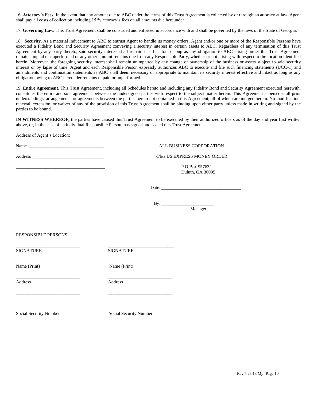16. **Attorney's Fees**. In the event that any amount due to ABC under the terms of this Trust Agreement is collected by or through an attorney at law. Agent shall pay all costs of collection including 15 % attorney's fees on all amounts due hereunder

17. **Governing Law.** This Trust Agreement shall be construed and enforced in accordance with and shall be governed by the laws of the State of Georgia.

18. Security. As a material inducement to ABC to entrust Agent to handle its money orders, Agent and/or one or more of the Responsible Persons have executed a Fidelity Bond and Security Agreement conveying a security interest in certain assets to ABC. Regardless of any termination of this Trust Agreement by any party thereto, said security interest shall remain in effect for so long as any obligation to ABC arising under this Trust Agreement remains unpaid or unperformed or any other amount remains due from any Responsible Party, whether or not arising with respect to the location identified herein. Moreover, the foregoing security interest shall remain unimpaired by any change of ownership of the business or assets subject to said security interest or by lapse of time. Agent and each Responsible Person expressly authorizes ABC to execute and file such financing statements (UCC-1) and amendments and continuation statements as ABC shall deem necessary or appropriate to maintain its security interest effective and intact as long as any obligation owing to ABC hereunder remains unpaid or unperformed.

19. **Entire Agreement**. This Trust Agreement, including all Schedules hereto and including any Fidelity Bond and Security Agreement executed herewith, constitutes the entire and sole agreement between the undersigned parties with respect to the subject matter herein. This Agreement supersedes all prior understandings, arrangements, or agreements between the parties hereto not contained in this Agreement, all of which are merged herein. No modification, renewal, extension, or waiver of any of the provision of this Trust Agreement shall be binding upon either party unless made in writing and signed by the parties to be bound.

**IN WITNESS WHEREOF,** the parties have caused this Trust Agreement to be executed by their authorized officers as of the day and year first written above, or, in the case of an individual Responsible Person, has signed and sealed this Trust Agreement.

Address of Agent's Location:

Name \_\_\_\_\_\_\_\_\_\_\_\_\_\_\_\_\_\_\_\_\_\_\_\_\_\_\_\_\_\_\_\_\_ ALL BUSINESS CORPORATION

Address \_\_\_\_\_\_\_\_\_\_\_\_\_\_\_\_\_\_\_\_\_\_\_\_\_\_\_\_\_\_\_ d/b/a US EXPRESS MONEY ORDER

P.O.Box 957632 Duluth, GA 30095

Date:

By: \_\_\_\_\_\_\_\_\_\_\_\_\_\_\_\_\_\_\_\_\_\_\_

Manager

RESPONSIBLE PERSONS:

\_\_\_\_\_\_\_\_\_\_\_\_\_\_\_\_\_\_\_\_\_\_\_\_\_\_\_\_ \_\_\_\_\_\_\_\_\_\_\_\_\_\_\_\_\_\_\_\_\_\_\_\_\_\_\_\_\_ SIGNATURE SIGNATURE

Name (Print) Name (Print)

\_\_\_\_\_\_\_\_\_\_\_\_\_\_\_\_\_\_\_\_\_\_\_\_\_\_\_\_ \_\_\_\_\_\_\_\_\_\_\_\_\_\_\_\_\_\_\_\_\_\_\_\_\_\_\_\_ Address Address

\_\_\_\_\_\_\_\_\_\_\_\_\_\_\_\_\_\_\_\_\_\_\_\_\_\_\_\_ \_\_\_\_\_\_\_\_\_\_\_\_\_\_\_\_\_\_\_\_\_\_\_\_\_\_\_\_

\_\_\_\_\_\_\_\_\_\_\_\_\_\_\_\_\_\_\_\_\_\_\_\_\_\_\_\_ \_\_\_\_\_\_\_\_\_\_\_\_\_\_\_\_\_\_\_\_\_\_\_\_\_\_\_\_

\_\_\_\_\_\_\_\_\_\_\_\_\_\_\_\_\_\_\_\_\_\_\_\_\_\_\_\_ \_\_\_\_\_\_\_\_\_\_\_\_\_\_\_\_\_\_\_\_\_\_\_\_\_\_\_\_

Social Security Number Social Security Number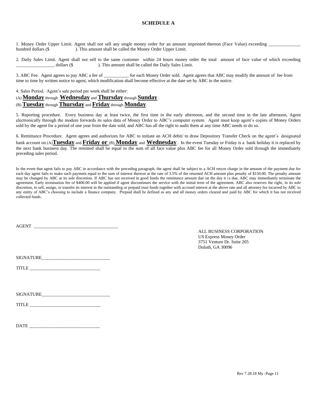1. Money Order Upper Limit. Agent shall not sell any single money order for an amount imprinted thereon (Face Value) exceeding hundred dollars (\$ ). This amount shall be called the Money Order Upper Limit.

2. Daily Sales Limit. Agent shall not sell to the same customer within 24 hours money order the total amount of face value of which exceeding dollars (\$ ). This amount shall be called the Daily Sales Limit.

3. ABC Fee. Agent agrees to pay ABC a fee of \_\_\_\_\_\_\_\_\_\_\_ for each Money Order sold. Agent agrees that ABC may modify the amount of fee from time to time by written notice to agent, which modification shall become effective at the date set by ABC in the notice.

4. Sales Period. Agent's sale period per week shall be either:

#### (A) **Monday** through **Wednesday** and **Thursday** through **Sunday** .

### (B) **Tuesday** through **Thursday** and **Friday** through **Monday**.

5. Reporting procedure. Every business day at least twice, the first time in the early afternoon, and the second time in the late afternoon, Agent electronically through the modem forwards its sales data of Money Order to ABC's computer system. Agent must keep agent's copies of Money Orders sold by the agent for a period of one year from the date sold, and ABC has all the right to audit them at any time ABC needs to do so.

6. Remittance Procedure. Agent agrees and authorizes for ABC to initiate an ACH debit/ to draw Depository Transfer Check on the agent's designated bank account on (A)**Tuesday** and **Friday or** (B) **Monday** and **Wednesday** . In the event Tuesday or Friday is a bank holiday it is replaced by the next bank business day. The remitted shall be equal to the sum of all face value plus ABC fee for all Money Order sold through the immediately preceding sales period.

In the event that agent fails to pay ABC in accordance with the preceding paragraph, the agent shall be subject to a ACH return charge in the amount of the payment due for each day agent fails to make such payment equal to the sum of interest thereon at the rate of 3.5% of the returned ACH amount plus penalty of \$150.00. The penalty amount may be changed by ABC at its sole discretion. If ABC has not received in good funds the remittance amount due on the day it is due, ABC may immediately terminate the agreement. Early termination fee of \$400.00 will be applied if agent discontinues the service with the initial term of the agreement. ABC also reserves the right, in its sole discretion, to sell, assign, or transfer its interest in the outstanding or prepaid trust funds together with accrued interest at the above rate and all attorney fee incurred by ABC to any entity of ABC's choosing to include a finance company. Prepaid shall be defined as any and all money orders cleared and paid by ABC for which it has not received collected funds.

AGENT  $\Box$ 

 ALL BUSINESS CORPORATION US Express Money Order 3751 Venture Dr. Suite 205 Duluth, GA 30096

SIGNATURE

TITLE \_\_\_\_\_\_\_\_\_\_\_\_\_\_\_\_\_\_\_\_\_\_\_\_\_\_\_\_\_\_\_

| TГ |  |
|----|--|
|    |  |

| DATE |  |  |
|------|--|--|
|      |  |  |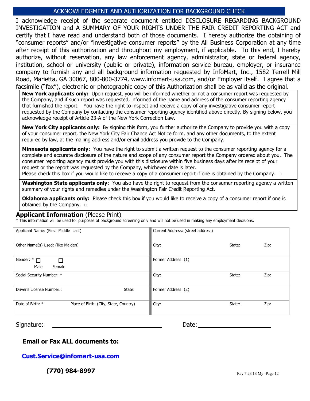### ACKNOWLEDGMENT AND AUTHORIZATION FOR BACKGROUND CHECK

I acknowledge receipt of the separate document entitled DISCLOSURE REGARDING BACKGROUND INVESTIGATION and A SUMMARY OF YOUR RIGHTS UNDER THE FAIR CREDIT REPORTING ACT and certify that I have read and understand both of those documents. I hereby authorize the obtaining of "consumer reports" and/or "investigative consumer reports" by the All Business Corporation at any time after receipt of this authorization and throughout my employment, if applicable. To this end, I hereby authorize, without reservation, any law enforcement agency, administrator, state or federal agency, institution, school or university (public or private), information service bureau, employer, or insurance company to furnish any and all background information requested by InfoMart, Inc., 1582 Terrell Mill Road, Marietta, GA 30067, 800-800-3774, www.infomart-usa.com, and/or Employer itself. I agree that a facsimile ("fax"), electronic or photographic copy of this Authorization shall be as valid as the original.

**New York applicants only:** Upon request, you will be informed whether or not a consumer report was requested by the Company, and if such report was requested, informed of the name and address of the consumer reporting agency that furnished the report. You have the right to inspect and receive a copy of any investigative consumer report requested by the Company by contacting the consumer reporting agency identified above directly. By signing below, you acknowledge receipt of Article 23-A of the New York Correction Law.

**New York City applicants only:** By signing this form, you further authorize the Company to provide you with a copy of your consumer report, the New York City Fair Chance Act Notice form, and any other documents, to the extent required by law, at the mailing address and/or email address you provide to the Company.

**Minnesota applicants only**: You have the right to submit a written request to the consumer reporting agency for a complete and accurate disclosure of the nature and scope of any consumer report the Company ordered about you. The consumer reporting agency must provide you with this disclosure within five business days after its receipt of your request or the report was requested by the Company, whichever date is later.

Please check this box if you would like to receive a copy of a consumer report if one is obtained by the Company. □

**Washington State applicants only**: You also have the right to request from the consumer reporting agency a written summary of your rights and remedies under the Washington Fair Credit Reporting Act.

**Oklahoma applicants only:** Please check this box if you would like to receive a copy of a consumer report if one is obtained by the Company. □

### **Applicant Information** (Please Print)

\* This information will be used for purposes of background screening only and will not be used in making any employment decisions.

| Applicant Name: (First Middle Last)                        | Current Address: (street address) |
|------------------------------------------------------------|-----------------------------------|
| Other Name(s) Used: (like Maiden)                          | Zip:<br>City:<br>State:           |
| Gender: $*$ $\Box$<br>Male<br>Female                       | Former Address: (1)               |
| Social Security Number: *                                  | City:<br>Zip:<br>State:           |
| Driver's License Number.:<br>State:                        | Former Address: (2)               |
| Date of Birth: *<br>Place of Birth: (City, State, Country) | Zip:<br>City:<br>State:           |

Signature: Note that the set of the set of the set of the set of the set of the set of the set of the set of the set of the set of the set of the set of the set of the set of the set of the set of the set of the set of the

## **Email or Fax ALL documents to:**

**Cust.Service@infomart-usa.com**

**(770) 984-8997**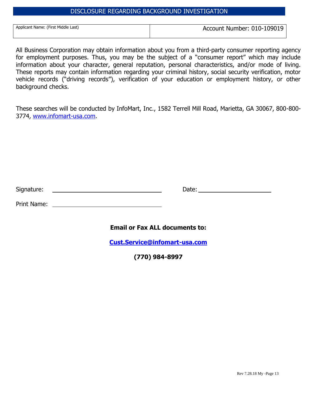## DISCLOSURE REGARDING BACKGROUND INVESTIGATION

| Applicant Name: (First Middle Last) | Account Number: 010-109019 |
|-------------------------------------|----------------------------|
|                                     |                            |

All Business Corporation may obtain information about you from a third-party consumer reporting agency for employment purposes. Thus, you may be the subject of a "consumer report" which may include information about your character, general reputation, personal characteristics, and/or mode of living. These reports may contain information regarding your criminal history, social security verification, motor vehicle records ("driving records"), verification of your education or employment history, or other background checks.

These searches will be conducted by InfoMart, Inc., 1582 Terrell Mill Road, Marietta, GA 30067, 800-800- 3774, www.infomart-usa.com.

| Signature: | <b>1-t-1</b><br>Jale: I |
|------------|-------------------------|
|            |                         |

Print Name:

**Email or Fax ALL documents to:**

**Cust.Service@infomart-usa.com**

**(770) 984-8997**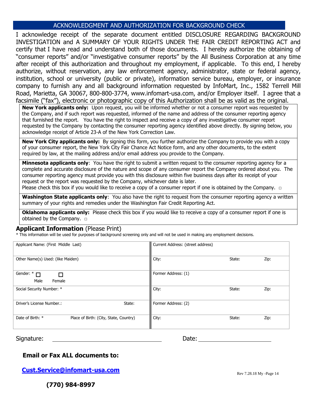### ACKNOWLEDGMENT AND AUTHORIZATION FOR BACKGROUND CHECK

I acknowledge receipt of the separate document entitled DISCLOSURE REGARDING BACKGROUND INVESTIGATION and A SUMMARY OF YOUR RIGHTS UNDER THE FAIR CREDIT REPORTING ACT and certify that I have read and understand both of those documents. I hereby authorize the obtaining of "consumer reports" and/or "investigative consumer reports" by the All Business Corporation at any time after receipt of this authorization and throughout my employment, if applicable. To this end, I hereby authorize, without reservation, any law enforcement agency, administrator, state or federal agency, institution, school or university (public or private), information service bureau, employer, or insurance company to furnish any and all background information requested by InfoMart, Inc., 1582 Terrell Mill Road, Marietta, GA 30067, 800-800-3774, www.infomart-usa.com, and/or Employer itself. I agree that a facsimile ("fax"), electronic or photographic copy of this Authorization shall be as valid as the original.

**New York applicants only:** Upon request, you will be informed whether or not a consumer report was requested by the Company, and if such report was requested, informed of the name and address of the consumer reporting agency that furnished the report. You have the right to inspect and receive a copy of any investigative consumer report requested by the Company by contacting the consumer reporting agency identified above directly. By signing below, you acknowledge receipt of Article 23-A of the New York Correction Law.

**New York City applicants only:** By signing this form, you further authorize the Company to provide you with a copy of your consumer report, the New York City Fair Chance Act Notice form, and any other documents, to the extent required by law, at the mailing address and/or email address you provide to the Company.

**Minnesota applicants only**: You have the right to submit a written request to the consumer reporting agency for a complete and accurate disclosure of the nature and scope of any consumer report the Company ordered about you. The consumer reporting agency must provide you with this disclosure within five business days after its receipt of your request or the report was requested by the Company, whichever date is later.

Please check this box if you would like to receive a copy of a consumer report if one is obtained by the Company.  $\Box$ 

Washington State applicants only: You also have the right to request from the consumer reporting agency a written summary of your rights and remedies under the Washington Fair Credit Reporting Act.

**Oklahoma applicants only:** Please check this box if you would like to receive a copy of a consumer report if one is obtained by the Company. □

### **Applicant Information** (Please Print)

\* This information will be used for purposes of background screening only and will not be used in making any employment decisions.

| Applicant Name: (First Middle Last)                        |       | Current Address: (street address) |        |      |
|------------------------------------------------------------|-------|-----------------------------------|--------|------|
| Other Name(s) Used: (like Maiden)                          | City: |                                   | State: | Zip: |
| Gender: $*$ $\Box$<br>Male<br>Female                       |       | Former Address: (1)               |        |      |
| Social Security Number: *                                  |       | City:                             | State: | Zip: |
| Driver's License Number.:<br>State:                        |       | Former Address: (2)               |        |      |
| Date of Birth: *<br>Place of Birth: (City, State, Country) | City: |                                   | State: | Zip: |

Signature: **Date:** Date: Date: **Date: Date: Date: Date: Date: Date: Date: Date: Date: Date: Date: Date: Date: Date: Date: Date: Date: Date: Date: Date: Date: Date:**  $\overline{D}$ 

## **Email or Fax ALL documents to:**

**Cust.Service@infomart-usa.com**